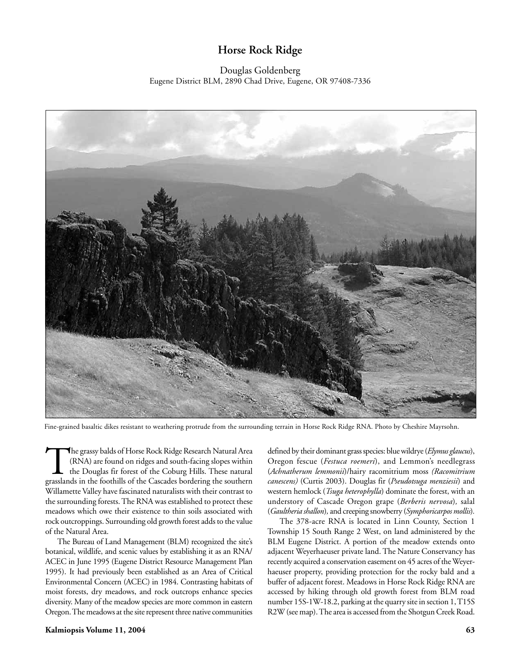# **Horse Rock Ridge**

# Douglas Goldenberg Eugene District BLM, 2890 Chad Drive, Eugene, OR 97408-7336



Fine-grained basaltic dikes resistant to weathering protrude from the surrounding terrain in Horse Rock Ridge RNA. Photo by Cheshire Mayrsohn.

The grassy balds of Horse Rock Ridge Research Natural Area (RNA) are found on ridges and south-facing slopes within the Douglas fir forest of the Coburg Hills. These natural grasslands in the foothills of the Cascades bord (RNA) are found on ridges and south-facing slopes within the Douglas fir forest of the Coburg Hills. These natural Willamette Valley have fascinated naturalists with their contrast to the surrounding forests. The RNA was established to protect these meadows which owe their existence to thin soils associated with rock outcroppings. Surrounding old growth forest adds to the value of the Natural Area.

The Bureau of Land Management (BLM) recognized the site's botanical, wildlife, and scenic values by establishing it as an RNA/ ACEC in June 1995 (Eugene District Resource Management Plan 1995). It had previously been established as an Area of Critical Environmental Concern (ACEC) in 1984. Contrasting habitats of moist forests, dry meadows, and rock outcrops enhance species diversity. Many of the meadow species are more common in eastern Oregon. The meadows at the site represent three native communities defined by their dominant grass species: blue wildrye (*Elymus glaucus*), Oregon fescue (*Festuca roemeri*), and Lemmon's needlegrass (*Achnatherum lemmonii*)/hairy racomitrium moss *(Racomitrium canescens)* (Curtis 2003). Douglas fir (*Pseudotsuga menziesii*) and western hemlock (*Tsuga heterophylla*) dominate the forest, with an understory of Cascade Oregon grape (*Berberis nervosa*)*,* salal (*Gaultheria shallon*)*,* and creeping snowberry (*Symphoricarpos mollis*)*.*

The 378-acre RNA is located in Linn County, Section 1 Township 15 South Range 2 West, on land administered by the BLM Eugene District. A portion of the meadow extends onto adjacent Weyerhaeuser private land. The Nature Conservancy has recently acquired a conservation easement on 45 acres of the Weyerhaeuser property, providing protection for the rocky bald and a buffer of adjacent forest. Meadows in Horse Rock Ridge RNA are accessed by hiking through old growth forest from BLM road number 15S-1W-18.2, parking at the quarry site in section 1, T15S R2W (see map). The area is accessed from the Shotgun Creek Road.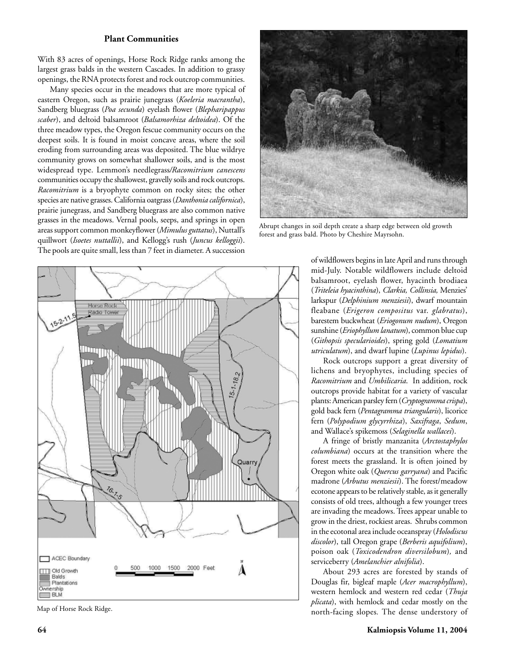#### **Plant Communities**

With 83 acres of openings, Horse Rock Ridge ranks among the largest grass balds in the western Cascades. In addition to grassy openings, the RNA protects forest and rock outcrop communities.

Many species occur in the meadows that are more typical of eastern Oregon, such as prairie junegrass (*Koeleria macrantha*), Sandberg bluegrass (*Poa secunda*) eyelash flower (*Blepharipappus scaber*), and deltoid balsamroot (*Balsamorhiza deltoidea*). Of the three meadow types, the Oregon fescue community occurs on the deepest soils. It is found in moist concave areas, where the soil eroding from surrounding areas was deposited. The blue wildrye community grows on somewhat shallower soils, and is the most widespread type. Lemmon's needlegrass*/Racomitrium canescens* communities occupy the shallowest, gravelly soils and rock outcrops. *Racomitrium* is a bryophyte common on rocky sites; the other species are native grasses.California oatgrass (*Danthonia californica*), prairie junegrass, and Sandberg bluegrass are also common native grasses in the meadows. Vernal pools, seeps, and springs in open areas support common monkeyflower (*Mimulus guttatus*), Nuttall's quillwort (*Isoetes nuttallii*), and Kellogg's rush (*Juncus kelloggii*). The pools are quite small, less than 7 feet in diameter. A succession



Abrupt changes in soil depth create a sharp edge between old growth forest and grass bald. Photo by Cheshire Mayrsohn.



Map of Horse Rock Ridge.

of wildflowers begins in late April and runs through mid-July. Notable wildflowers include deltoid balsamroot, eyelash flower, hyacinth brodiaea (*Triteleia hyacinthina*), *Clarkia, Collinsia,* Menzies' larkspur (*Delphinium menziesii*), dwarf mountain fleabane (*Erigeron compositus* var. *glabratus*), barestem buckwheat (*Eriogonum nudum*), Oregon sunshine (*Eriophyllum lanatum*), common blue cup (*Githopsis specularioides*), spring gold (*Lomatium utriculatum*), and dwarf lupine (*Lupinus lepidus*).

Rock outcrops support a great diversity of lichens and bryophytes, including species of *Racomitrium* and *Umbilicaria*. In addition, rock outcrops provide habitat for a variety of vascular plants: American parsley fern (*Cryptogramma crispa*), gold back fern (*Pentagramma triangularis*), licorice fern (*Polypodium glycyrrhiza*), *Saxifraga*, *Sedum*, and Wallace's spikemoss (*Selaginella wallacei*).

A fringe of bristly manzanita (*Arctostaphylos columbiana*) occurs at the transition where the forest meets the grassland. It is often joined by Oregon white oak (*Quercus garryana*) and Pacific madrone (*Arbutus menziesii*). The forest/meadow ecotone appears to be relatively stable, as it generally consists of old trees, although a few younger trees are invading the meadows. Trees appear unable to grow in the driest, rockiest areas. Shrubs common in the ecotonal area include oceanspray (*Holodiscus discolor*), tall Oregon grape (*Berberis aquifolium*), poison oak (*Toxicodendron diversilobum*)*,* and serviceberry (*Amelanchier alnifolia*).

About 293 acres are forested by stands of Douglas fir, bigleaf maple (*Acer macrophyllum*), western hemlock and western red cedar (*Thuja plicata*), with hemlock and cedar mostly on the north-facing slopes*.* The dense understory of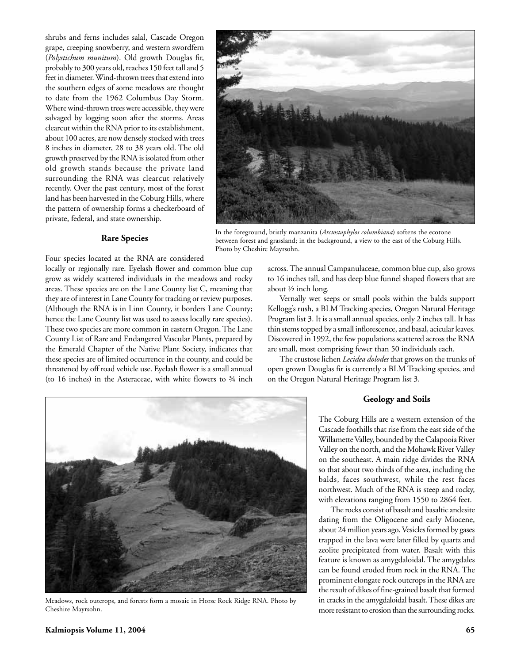shrubs and ferns includes salal, Cascade Oregon grape, creeping snowberry, and western swordfern (*Polystichum munitum*). Old growth Douglas fir, probably to 300 years old, reaches 150 feet tall and 5 feet in diameter. Wind-thrown trees that extend into the southern edges of some meadows are thought to date from the 1962 Columbus Day Storm. Where wind-thrown trees were accessible, they were salvaged by logging soon after the storms. Areas clearcut within the RNA prior to its establishment, about 100 acres, are now densely stocked with trees 8 inches in diameter, 28 to 38 years old. The old growth preserved by the RNA is isolated from other old growth stands because the private land surrounding the RNA was clearcut relatively recently. Over the past century, most of the forest land has been harvested in the Coburg Hills, where the pattern of ownership forms a checkerboard of private, federal, and state ownership.



In the foreground, bristly manzanita (*Arctostaphylos columbiana*) softens the ecotone between forest and grassland; in the background, a view to the east of the Coburg Hills. Photo by Cheshire Mayrsohn.

#### **Rare Species**

Four species located at the RNA are considered

locally or regionally rare. Eyelash flower and common blue cup grow as widely scattered individuals in the meadows and rocky areas. These species are on the Lane County list C, meaning that they are of interest in Lane County for tracking or review purposes. (Although the RNA is in Linn County, it borders Lane County; hence the Lane County list was used to assess locally rare species). These two species are more common in eastern Oregon. The Lane County List of Rare and Endangered Vascular Plants, prepared by the Emerald Chapter of the Native Plant Society, indicates that these species are of limited occurrence in the county, and could be threatened by off road vehicle use. Eyelash flower is a small annual (to 16 inches) in the Asteraceae, with white flowers to ¾ inch across. The annual Campanulaceae, common blue cup, also grows to 16 inches tall, and has deep blue funnel shaped flowers that are about ½ inch long.

Vernally wet seeps or small pools within the balds support Kellogg's rush, a BLM Tracking species, Oregon Natural Heritage Program list 3. It is a small annual species, only 2 inches tall. It has thin stems topped by a small inflorescence, and basal, acicular leaves. Discovered in 1992, the few populations scattered across the RNA are small, most comprising fewer than 50 individuals each.

The crustose lichen *Lecidea dolodes* that grows on the trunks of open grown Douglas fir is currently a BLM Tracking species, and on the Oregon Natural Heritage Program list 3.



Meadows, rock outcrops, and forests form a mosaic in Horse Rock Ridge RNA. Photo by Cheshire Mayrsohn.

#### **Geology and Soils**

The Coburg Hills are a western extension of the Cascade foothills that rise from the east side of the Willamette Valley, bounded by the Calapooia River Valley on the north, and the Mohawk River Valley on the southeast. A main ridge divides the RNA so that about two thirds of the area, including the balds, faces southwest, while the rest faces northwest. Much of the RNA is steep and rocky, with elevations ranging from 1550 to 2864 feet.

The rocks consist of basalt and basaltic andesite dating from the Oligocene and early Miocene, about 24 million years ago. Vesicles formed by gases trapped in the lava were later filled by quartz and zeolite precipitated from water. Basalt with this feature is known as amygdaloidal. The amygdales can be found eroded from rock in the RNA. The prominent elongate rock outcrops in the RNA are the result of dikes of fine-grained basalt that formed in cracks in the amygdaloidal basalt. These dikes are more resistant to erosion than the surrounding rocks.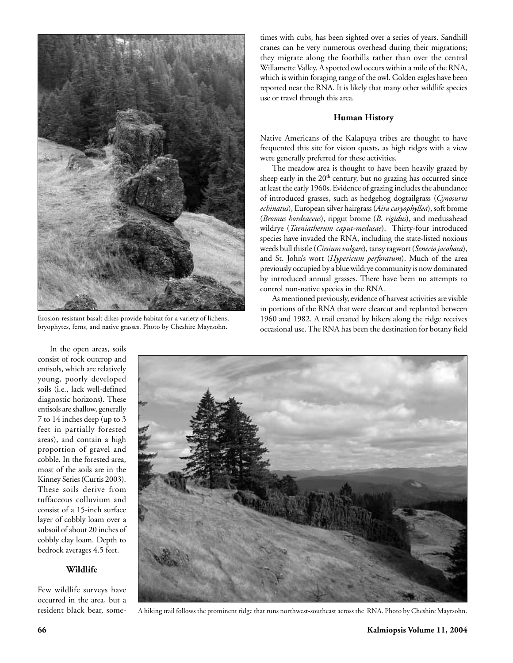

Erosion-resistant basalt dikes provide habitat for a variety of lichens, bryophytes, ferns, and native grasses. Photo by Cheshire Mayrsohn.

times with cubs, has been sighted over a series of years. Sandhill cranes can be very numerous overhead during their migrations; they migrate along the foothills rather than over the central Willamette Valley. A spotted owl occurs within a mile of the RNA, which is within foraging range of the owl. Golden eagles have been reported near the RNA. It is likely that many other wildlife species use or travel through this area.

#### **Human History**

Native Americans of the Kalapuya tribes are thought to have frequented this site for vision quests, as high ridges with a view were generally preferred for these activities.

The meadow area is thought to have been heavily grazed by sheep early in the  $20<sup>th</sup>$  century, but no grazing has occurred since at least the early 1960s. Evidence of grazing includes the abundance of introduced grasses, such as hedgehog dogtailgrass (*Cynosurus echinatus*), European silver hairgrass (*Aira caryophyllea*), soft brome (*Bromus hordeaceus*), ripgut brome (*B. rigidus*), and medusahead wildrye (*Taeniatherum caput-medusae*). Thirty-four introduced species have invaded the RNA, including the state-listed noxious weeds bull thistle (*Cirsium vulgare*), tansy ragwort (*Senecio jacobaea*), and St. John's wort (*Hypericum perforatum*). Much of the area previously occupied by a blue wildrye community is now dominated by introduced annual grasses. There have been no attempts to control non-native species in the RNA.

As mentioned previously, evidence of harvest activities are visible in portions of the RNA that were clearcut and replanted between 1960 and 1982. A trail created by hikers along the ridge receives occasional use. The RNA has been the destination for botany field

In the open areas, soils consist of rock outcrop and entisols, which are relatively young, poorly developed soils (i.e., lack well-defined diagnostic horizons). These entisols are shallow, generally 7 to 14 inches deep (up to 3 feet in partially forested areas), and contain a high proportion of gravel and cobble. In the forested area, most of the soils are in the Kinney Series (Curtis 2003). These soils derive from tuffaceous colluvium and consist of a 15-inch surface layer of cobbly loam over a subsoil of about 20 inches of cobbly clay loam. Depth to bedrock averages 4.5 feet.

## **Wildlife**

Few wildlife surveys have occurred in the area, but a resident black bear, some-



A hiking trail follows the prominent ridge that runs northwest-southeast across the RNA. Photo by Cheshire Mayrsohn.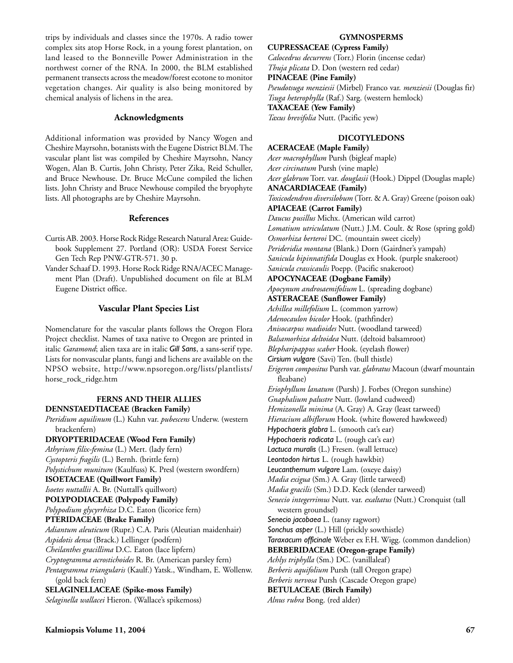trips by individuals and classes since the 1970s. A radio tower complex sits atop Horse Rock, in a young forest plantation, on land leased to the Bonneville Power Administration in the northwest corner of the RNA. In 2000, the BLM established permanent transects across the meadow/forest ecotone to monitor vegetation changes. Air quality is also being monitored by chemical analysis of lichens in the area.

# **Acknowledgments**

Additional information was provided by Nancy Wogen and Cheshire Mayrsohn, botanists with the Eugene District BLM. The vascular plant list was compiled by Cheshire Mayrsohn, Nancy Wogen, Alan B. Curtis, John Christy, Peter Zika, Reid Schuller, and Bruce Newhouse. Dr. Bruce McCune compiled the lichen lists. John Christy and Bruce Newhouse compiled the bryophyte lists. All photographs are by Cheshire Mayrsohn.

## **References**

- Curtis AB. 2003. Horse Rock Ridge Research Natural Area: Guidebook Supplement 27. Portland (OR): USDA Forest Service Gen Tech Rep PNW-GTR-571. 30 p.
- Vander Schaaf D. 1993. Horse Rock Ridge RNA/ACEC Management Plan (Draft). Unpublished document on file at BLM Eugene District office.

# **Vascular Plant Species List**

Nomenclature for the vascular plants follows the Oregon Flora Project checklist. Names of taxa native to Oregon are printed in italic *Garamond*; alien taxa are in italic *Gill Sans*, a sans-serif type. Lists for nonvascular plants, fungi and lichens are available on the NPSO website, http://www.npsoregon.org/lists/plantlists/ horse\_rock\_ridge.htm

# **FERNS AND THEIR ALLIES**

**DENNSTAEDTIACEAE (Bracken Family)** *Pteridium aquilinum* (L.) Kuhn var. *pubescens* Underw. (western brackenfern) **DRYOPTERIDACEAE (Wood Fern Family)** *Athyrium filix-femina* (L.) Mert. (lady fern) *Cystopteris fragilis* (L.) Bernh. (brittle fern) *Polystichum munitum* (Kaulfuss) K. Presl (western swordfern) **ISOETACEAE (Quillwort Family)** *Isoetes nuttallii* A. Br. (Nuttall's quillwort) **POLYPODIACEAE (Polypody Family)** *Polypodium glycyrrhiza* D.C. Eaton (licorice fern) **PTERIDACEAE (Brake Family)** *Adiantum aleuticum* (Rupr.) C.A. Paris (Aleutian maidenhair) *Aspidotis densa* (Brack.) Lellinger (podfern) *Cheilanthes gracillima* D.C. Eaton (lace lipfern) *Cryptogramma acrostichoides* R. Br. (American parsley fern) *Pentagramma triangularis* (Kaulf.) Yatsk., Windham, E. Wollenw. (gold back fern) **SELAGINELLACEAE (Spike-moss Family)** *Selaginella wallacei* Hieron. (Wallace's spikemoss)

#### **GYMNOSPERMS**

**CUPRESSACEAE (Cypress Family)** *Calocedrus decurrens* (Torr.) Florin (incense cedar) *Thuja plicata* D. Don (western red cedar) **PINACEAE (Pine Family)** *Pseudotsuga menziesii* (Mirbel) Franco var. *menziesii* (Douglas fir) *Tsuga heterophylla* (Raf.) Sarg. (western hemlock) **TAXACEAE (Yew Family)** *Taxus brevifolia* Nutt. (Pacific yew)

# **DICOTYLEDONS**

**ACERACEAE (Maple Family)** *Acer macrophyllum* Pursh (bigleaf maple) *Acer circinatum* Pursh (vine maple) *Acer glabrum* Torr. var. *douglasii* (Hook.) Dippel (Douglas maple) **ANACARDIACEAE (Family)** *Toxicodendron diversilobum* (Torr. & A. Gray) Greene (poison oak) **APIACEAE (Carrot Family)** *Daucus pusillus* Michx. (American wild carrot) *Lomatium utriculatum* (Nutt.) J.M. Coult. & Rose (spring gold) *Osmorhiza berteroi* DC. (mountain sweet cicely) *Perideridia montana* (Blank.) Dorn (Gairdner's yampah) *Sanicula bipinnatifida* Douglas ex Hook. (purple snakeroot) *Sanicula crassicaulis* Poepp. (Pacific snakeroot) **APOCYNACEAE (Dogbane Family)** *Apocynum androsaemifolium* L. (spreading dogbane) **ASTERACEAE (Sunflower Family)** *Achillea millefolium* L. (common yarrow) *Adenocaulon bicolor* Hook. (pathfinder) *Anisocarpus madioides* Nutt. (woodland tarweed) *Balsamorhiza deltoidea* Nutt. (deltoid balsamroot) *Blepharipappus scaber* Hook. (eyelash flower) *Cirsium vulgare* (Savi) Ten. (bull thistle) *Erigeron compositus* Pursh var. *glabratus* Macoun (dwarf mountain fleabane) *Eriophyllum lanatum* (Pursh) J. Forbes (Oregon sunshine) *Gnaphalium palustre* Nutt. (lowland cudweed) *Hemizonella minima* (A. Gray) A. Gray (least tarweed) *Hieracium albiflorum* Hook. (white flowered hawkweed) *Hypochaeris glabra* L. (smooth cat's ear) *Hypochaeris radicata* L. (rough cat's ear) *Lactuca muralis* (L.) Fresen. (wall lettuce) *Leontodon hirtus* L. (rough hawkbit) *Leucanthemum vulgare* Lam. (oxeye daisy) *Madia exigua* (Sm.) A. Gray (little tarweed) *Madia gracilis* (Sm.) D.D. Keck (slender tarweed) *Senecio integerrimus* Nutt. var. *exaltatus* (Nutt.) Cronquist (tall western groundsel) *Senecio jacobaea* L. (tansy ragwort) *Sonchus asper* (L.) Hill (prickly sowthistle) *Taraxacum officinale* Weber ex F.H. Wigg. (common dandelion) **BERBERIDACEAE (Oregon-grape Family)** *Achlys triphylla* (Sm.) DC. (vanillaleaf) *Berberis aquifolium* Pursh (tall Oregon grape) *Berberis nervosa* Pursh (Cascade Oregon grape) **BETULACEAE (Birch Family)** *Alnus rubra* Bong. (red alder)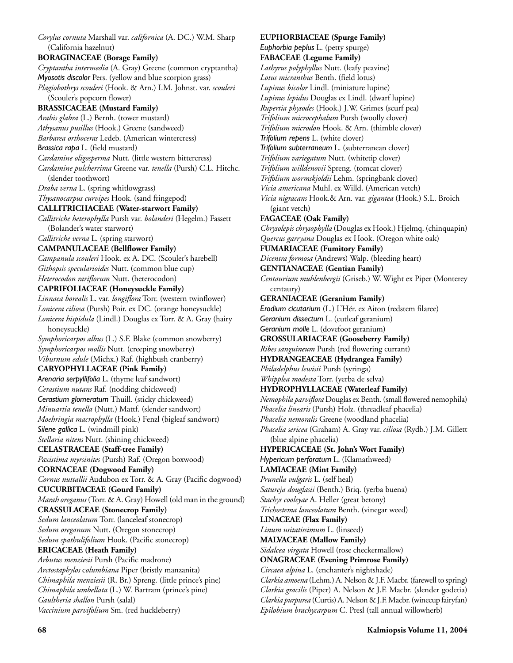*Corylus cornuta* Marshall var. *californica* (A. DC.) W.M. Sharp (California hazelnut) **BORAGINACEAE (Borage Family)** *Cryptantha intermedia* (A. Gray) Greene (common cryptantha) *Myosotis discolor* Pers. (yellow and blue scorpion grass) *Plagiobothrys scouleri* (Hook. & Arn.) I.M. Johnst. var. *scouleri* (Scouler's popcorn flower) **BRASSICACEAE (Mustard Family)** *Arabis glabra* (L.) Bernh. (tower mustard) *Athysanus pusillus* (Hook.) Greene (sandweed) *Barbarea orthoceras* Ledeb. (American wintercress) *Brassica rapa* L. (field mustard) *Cardamine oligosperma* Nutt. (little western bittercress) *Cardamine pulcherrima* Greene var. *tenella* (Pursh) C.L. Hitchc. (slender toothwort) *Draba verna* L. (spring whitlowgrass) *Thysanocarpus curvipes* Hook. (sand fringepod) **CALLITRICHACEAE (Water-starwort Family)** *Callitriche heterophylla* Pursh var. *bolanderi* (Hegelm.) Fassett (Bolander's water starwort) *Callitriche verna* L. (spring starwort) **CAMPANULACEAE (Bellflower Family)** *Campanula scouleri* Hook. ex A. DC. (Scouler's harebell) *Githopsis specularioides* Nutt. (common blue cup) *Heterocodon rariflorum* Nutt. (heterocodon) **CAPRIFOLIACEAE (Honeysuckle Family)** *Linnaea borealis* L. var. *longiflora* Torr. (western twinflower) *Lonicera ciliosa* (Pursh) Poir. ex DC. (orange honeysuckle) *Lonicera hispidula* (Lindl.) Douglas ex Torr. & A. Gray (hairy honeysuckle) *Symphoricarpos albus* (L.) S.F. Blake (common snowberry) *Symphoricarpos mollis* Nutt. (creeping snowberry) *Viburnum edule* (Michx.) Raf. (highbush cranberry) **CARYOPHYLLACEAE (Pink Family)** *Arenaria serpyllifolia* L. (thyme leaf sandwort) *Cerastium nutans* Raf. (nodding chickweed) *Cerastium glomeratum* Thuill. (sticky chickweed) *Minuartia tenella* (Nutt.) Mattf. (slender sandwort) *Moehringia macrophylla* (Hook.) Fenzl (bigleaf sandwort) *Silene gallica* L. (windmill pink) *Stellaria nitens* Nutt. (shining chickweed) **CELASTRACEAE (Staff-tree Family)** *Paxistima myrsinites* (Pursh) Raf. (Oregon boxwood) **CORNACEAE (Dogwood Family)** *Cornus nuttallii* Audubon ex Torr. & A. Gray (Pacific dogwood) **CUCURBITACEAE (Gourd Family)** *Marah oreganus* (Torr. & A. Gray) Howell (old man in the ground) **CRASSULACEAE (Stonecrop Family)** *Sedum lanceolatum* Torr. (lanceleaf stonecrop) *Sedum oreganum* Nutt. (Oregon stonecrop) *Sedum spathulifolium* Hook. (Pacific stonecrop) **ERICACEAE (Heath Family)** *Arbutus menziesii* Pursh (Pacific madrone) *Arctostaphylos* c*olumbiana* Piper (bristly manzanita) *Chimaphila menziesii* (R. Br.) Spreng. (little prince's pine) *Chimaphila umbellata* (L.) W. Bartram (prince's pine) *Gaultheria shallon* Pursh (salal) *Vaccinium parvifolium* Sm. (red huckleberry)

**EUPHORBIACEAE (Spurge Family)** *Euphorbia peplus* L. (petty spurge) **FABACEAE (Legume Family)** *Lathyrus polyphyllus* Nutt. (leafy peavine) *Lotus micranthus* Benth. (field lotus) *Lupinus bicolor* Lindl. (miniature lupine) *Lupinus lepidus* Douglas ex Lindl. (dwarf lupine) *Rupertia physodes* (Hook.) J.W. Grimes (scurf pea) *Trifolium microcephalum* Pursh (woolly clover) *Trifolium microdon* Hook. & Arn. (thimble clover) *Trifolium repens* L. (white clover) *Trifolium subterraneum* L. (subterranean clover) *Trifolium variegatum* Nutt. (whitetip clover) *Trifolium willdenovii* Spreng. (tomcat clover) *Trifolium wormskjoldii* Lehm. (springbank clover) *Vicia americana* Muhl. ex Willd. (American vetch) *Vicia nigracans* Hook.& Arn. var. *gigantea* (Hook.) S.L. Broich (giant vetch) **FAGACEAE (Oak Family)** *Chrysolepis chrysophylla* (Douglas ex Hook.) Hjelmq. (chinquapin) *Quercus garryana* Douglas ex Hook. (Oregon white oak) **FUMARIACEAE (Fumitory Family)** *Dicentra formosa* (Andrews) Walp. (bleeding heart) **GENTIANACEAE (Gentian Family)** *Centaurium muhlenbergii* (Griseb.) W. Wight ex Piper (Monterey centaury) **GERANIACEAE (Geranium Family)** *Erodium cicutarium* (L.) L'Hér. ex Aiton (redstem filaree) *Geranium dissectum* L. (cutleaf geranium) *Geranium molle* L. (dovefoot geranium) **GROSSULARIACEAE (Gooseberry Family)** *Ribes sanguineum* Pursh (red flowering currant) **HYDRANGEACEAE (Hydrangea Family)** *Philadelphus lewisii* Pursh (syringa) *Whipplea modesta* Torr. (yerba de selva) **HYDROPHYLLACEAE (Waterleaf Family)** *Nemophila parviflora* Douglas ex Benth. (small flowered nemophila) *Phacelia linearis* (Pursh) Holz*.* (threadleaf phacelia) *Phacelia nemoralis* Greene (woodland phacelia) *Phacelia sericea* (Graham) A. Gray var. *ciliosa* (Rydb.) J.M. Gillett (blue alpine phacelia) **HYPERICACEAE (St. John's Wort Family)** *Hypericum perforatum* L. (Klamathweed) **LAMIACEAE (Mint Family)** *Prunella vulgaris* L. (self heal) *Satureja douglasii* (Benth.) Briq. (yerba buena) *Stachys cooleyae* A. Heller (great betony) *Trichostema lanceolatum* Benth. (vinegar weed) **LINACEAE (Flax Family)** *Linum usitatissimum* L. (linseed) **MALVACEAE (Mallow Family)** *Sidalcea virgata* Howell (rose checkermallow) **ONAGRACEAE (Evening Primrose Family)** *Circaea alpina* L. (enchanter's nightshade) *Clarkia amoena* (Lehm.) A. Nelson & J.F. Macbr. (farewell to spring) *Clarkia gracilis* (Piper) A. Nelson & J.F. Macbr. (slender godetia) *Clarkia purpurea* (Curtis) A. Nelson & J.F. Macbr. (winecup fairyfan) *Epilobium brachycarpum* C. Presl (tall annual willowherb)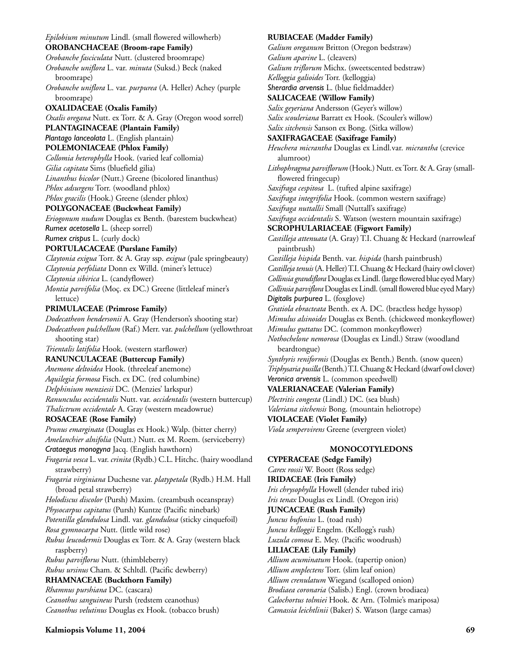*Epilobium minutum* Lindl. (small flowered willowherb) **OROBANCHACEAE (Broom-rape Family)** *Orobanche fasciculata* Nutt. (clustered broomrape) *Orobanche uniflora* L. var. *minuta* (Suksd.) Beck (naked broomrape) *Orobanche uniflora* L. var. *purpurea* (A. Heller) Achey (purple broomrape) **OXALIDACEAE (Oxalis Family)** *Oxalis oregana* Nutt. ex Torr. & A. Gray (Oregon wood sorrel) **PLANTAGINACEAE (Plantain Family)** *Plantago lanceolata* L. (English plantain) **POLEMONIACEAE (Phlox Family)** *Collomia heterophylla* Hook. (varied leaf collomia) *Gilia capitata* Sims (bluefield gilia) *Linanthus bicolor* (Nutt.) Greene (bicolored linanthus) *Phlox adsurgens* Torr. (woodland phlox) *Phlox gracilis* (Hook.) Greene (slender phlox) **POLYGONACEAE (Buckwheat Family)** *Eriogonum nudum* Douglas ex Benth. (barestem buckwheat) *Rumex acetosella* L. (sheep sorrel) *Rumex crispus* L. (curly dock) **PORTULACACEAE (Purslane Family)** *Claytonia exigua* Torr. & A. Gray ssp. *exigua* (pale springbeauty) *Claytonia perfoliata* Donn ex Willd. (miner's lettuce) *Claytonia sibirica* L. (candyflower) *Montia parvifolia* (Moç. ex DC.) Greene (littleleaf miner's lettuce) **PRIMULACEAE (Primrose Family)** *Dodecatheon hendersonii* A. Gray (Henderson's shooting star) *Dodecatheon pulchellum* (Raf.) Merr. var. *pulchellum* (yellowthroat shooting star) *Trientalis latifolia* Hook. (western starflower) **RANUNCULACEAE (Buttercup Family)** *Anemone deltoidea* Hook. (threeleaf anemone) *Aquilegia formosa* Fisch. ex DC. (red columbine) *Delphinium menziesii* DC. (Menzies' larkspur) *Ranunculus occidentalis* Nutt. var. *occidentalis* (western buttercup) *Thalictrum occidentale* A. Gray (western meadowrue) **ROSACEAE (Rose Family)** *Prunus emarginata* (Douglas ex Hook.) Walp. (bitter cherry) *Amelanchier alnifolia* (Nutt.) Nutt. ex M. Roem. (serviceberry) *Crataegus monogyna* Jacq. (English hawthorn) *Fragaria vesca* L. var. *crinita* (Rydb.) C.L. Hitchc. (hairy woodland strawberry) *Fragaria virginiana* Duchesne var. *platypetala* (Rydb.) H.M. Hall (broad petal strawberry) *Holodiscus discolor* (Pursh) Maxim. (creambush oceanspray) *Physocarpus capitatus* (Pursh) Kuntze (Pacific ninebark) *Potentilla glandulosa* Lindl. var. *glandulosa* (sticky cinquefoil) *Rosa gymnocarpa* Nutt. (little wild rose) *Rubus leucodermis* Douglas ex Torr. & A. Gray (western black raspberry) *Rubus parviflorus* Nutt. (thimbleberry) *Rubus ursinus* Cham. & Schltdl. (Pacific dewberry) **RHAMNACEAE (Buckthorn Family)** *Rhamnus purshiana* DC. (cascara) *Ceanothus sanguineus* Pursh (redstem ceanothus) *Ceanothus velutinus* Douglas ex Hook. (tobacco brush)

**RUBIACEAE (Madder Family)** *Galium oreganum* Britton (Oregon bedstraw) *Galium aparine* L. (cleavers) *Galium triflorum* Michx. (sweetscented bedstraw) *Kelloggia galioides* Torr. (kelloggia) *Sherardia arvensis* L. (blue fieldmadder) **SALICACEAE (Willow Family)** *Salix geyeriana* Andersson (Geyer's willow) *Salix scouleriana* Barratt ex Hook. (Scouler's willow) *Salix sitchensis* Sanson ex Bong. (Sitka willow) **SAXIFRAGACEAE (Saxifrage Family)** *Heuchera micrantha* Douglas ex Lindl*.*var. *micrantha* (crevice alumroot) *Lithophragma parviflorum* (Hook.) Nutt. ex Torr. & A. Gray (smallflowered fringecup) *Saxifraga cespitosa* L. (tufted alpine saxifrage) *Saxifraga integrifolia* Hook. (common western saxifrage) *Saxifraga nuttallii* Small (Nuttall's saxifrage) *Saxifraga occidentalis* S. Watson (western mountain saxifrage) **SCROPHULARIACEAE (Figwort Family)** *Castilleja attenuata* (A. Gray) T.I. Chuang & Heckard (narrowleaf paintbrush) *Castilleja hispida* Benth. var. *hispida* (harsh paintbrush) *Castilleja tenuis* (A. Heller) T.I. Chuang & Heckard (hairy owl clover) *Collinsia grandiflora* Douglas ex Lindl. (large flowered blue eyed Mary) *Collinsia parviflora* Douglas ex Lindl. (small flowered blue eyed Mary) *Digitalis purpurea* L. (foxglove) *Gratiola ebracteata* Benth. ex A. DC. (bractless hedge hyssop) *Mimulus alsinoides* Douglas ex Benth. (chickweed monkeyflower) *Mimulus guttatus* DC. (common monkeyflower) *Nothochelone nemorosa* (Douglas ex Lindl.) Straw (woodland beardtongue) *Synthyris reniformis* (Douglas ex Benth.) Benth. (snow queen) *Triphysaria pusilla* (Benth.) T.I. Chuang & Heckard (dwarf owl clover) *Veronica arvensis* L. (common speedwell) **VALERIANACEAE (Valerian Family)** *Plectritis congesta* (Lindl.) DC. (sea blush) *Valeriana sitchensis* Bong. (mountain heliotrope)

**VIOLACEAE (Violet Family)**

*Viola sempervirens* Greene (evergreen violet)

## **MONOCOTYLEDONS**

**CYPERACEAE (Sedge Family)** *Carex rossii* W. Boott (Ross sedge) **IRIDACEAE (Iris Family)** *Iris chrysophylla* Howell (slender tubed iris) *Iris tenax* Douglas ex Lindl*.* (Oregon iris) **JUNCACEAE (Rush Family)** *Juncus bufonius* L. (toad rush) *Juncus kelloggii* Engelm. (Kellogg's rush) *Luzula comosa* E. Mey. (Pacific woodrush) **LILIACEAE (Lily Family)** *Allium acuminatum* Hook. (tapertip onion) *Allium amplectens* Torr. (slim leaf onion) *Allium crenulatum* Wiegand (scalloped onion) *Brodiaea coronaria* (Salisb.) Engl. (crown brodiaea) *Calochortus tolmiei* Hook. & Arn. (Tolmie's mariposa) *Camassia leichtlinii* (Baker) S. Watson (large camas)